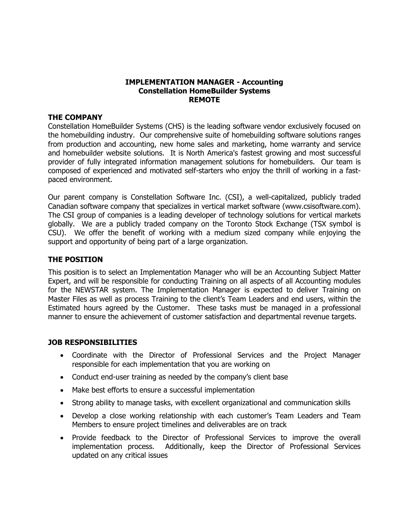## **IMPLEMENTATION MANAGER - Accounting Constellation HomeBuilder Systems REMOTE**

### **THE COMPANY**

Constellation HomeBuilder Systems (CHS) is the leading software vendor exclusively focused on the homebuilding industry. Our comprehensive suite of homebuilding software solutions ranges from production and accounting, new home sales and marketing, home warranty and service and homebuilder website solutions. It is North America's fastest growing and most successful provider of fully integrated information management solutions for homebuilders. Our team is composed of experienced and motivated self-starters who enjoy the thrill of working in a fastpaced environment.

Our parent company is Constellation Software Inc. (CSI), a well-capitalized, publicly traded Canadian software company that specializes in vertical market software [\(www.csisoftware.com\)](http://www.csisoftware.com/). The CSI group of companies is a leading developer of technology solutions for vertical markets globally. We are a publicly traded company on the Toronto Stock Exchange (TSX symbol is CSU). We offer the benefit of working with a medium sized company while enjoying the support and opportunity of being part of a large organization.

## **THE POSITION**

This position is to select an Implementation Manager who will be an Accounting Subject Matter Expert, and will be responsible for conducting Training on all aspects of all Accounting modules for the NEWSTAR system. The Implementation Manager is expected to deliver Training on Master Files as well as process Training to the client's Team Leaders and end users, within the Estimated hours agreed by the Customer. These tasks must be managed in a professional manner to ensure the achievement of customer satisfaction and departmental revenue targets.

## **JOB RESPONSIBILITIES**

- Coordinate with the Director of Professional Services and the Project Manager responsible for each implementation that you are working on
- Conduct end-user training as needed by the company's client base
- Make best efforts to ensure a successful implementation
- Strong ability to manage tasks, with excellent organizational and communication skills
- Develop a close working relationship with each customer's Team Leaders and Team Members to ensure project timelines and deliverables are on track
- Provide feedback to the Director of Professional Services to improve the overall implementation process. Additionally, keep the Director of Professional Services updated on any critical issues